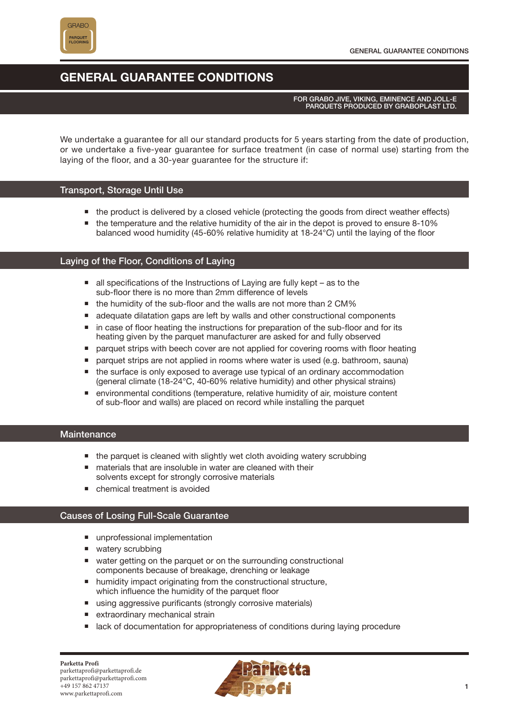

# **GENERAL GUARANTEE CONDITIONS**

#### FOR GRABO JIVE, VIKING, EMINENCE AND JOLL-E PARQUETS PRODUCED BY GRABOPLAST LTD.

We undertake a guarantee for all our standard products for 5 years starting from the date of production, or we undertake a five-year guarantee for surface treatment (in case of normal use) starting from the laying of the floor, and a 30-year guarantee for the structure if:

### Transport, Storage Until Use

- the product is delivered by a closed vehicle (protecting the goods from direct weather effects)
- $\blacksquare$  the temperature and the relative humidity of the air in the depot is proved to ensure 8-10% balanced wood humidity (45-60% relative humidity at 18-24°C) until the laying of the floor

#### Laying of the Floor, Conditions of Laying

- all specifications of the Instructions of Laying are fully kept as to the sub-floor there is no more than 2mm difference of levels
- the humidity of the sub-floor and the walls are not more than 2 CM%
- **E** adequate dilatation gaps are left by walls and other constructional components
- in case of floor heating the instructions for preparation of the sub-floor and for its heating given by the parquet manufacturer are asked for and fully observed
- parquet strips with beech cover are not applied for covering rooms with floor heating
- parquet strips are not applied in rooms where water is used (e.g. bathroom, sauna)
- the surface is only exposed to average use typical of an ordinary accommodation (general climate (18-24°C, 40-60% relative humidity) and other physical strains)
- environmental conditions (temperature, relative humidity of air, moisture content of sub-floor and walls) are placed on record while installing the parquet

#### **Maintenance**

- the parquet is cleaned with slightly wet cloth avoiding watery scrubbing
- materials that are insoluble in water are cleaned with their solvents except for strongly corrosive materials
- chemical treatment is avoided

## Causes of Losing Full-Scale Guarantee

- unprofessional implementation
- watery scrubbing
- water getting on the parquet or on the surrounding constructional components because of breakage, drenching or leakage
- humidity impact originating from the constructional structure, which influence the humidity of the parquet floor
- using aggressive purificants (strongly corrosive materials)
- extraordinary mechanical strain
- lack of documentation for appropriateness of conditions during laying procedure